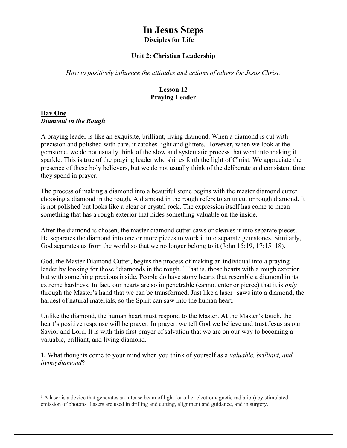# In Jesus Steps Disciples for Life

#### Unit 2: Christian Leadership

How to positively influence the attitudes and actions of others for Jesus Christ.

## Lesson 12 Praying Leader

#### Day One Diamond in the Rough

A praying leader is like an exquisite, brilliant, living diamond. When a diamond is cut with precision and polished with care, it catches light and glitters. However, when we look at the gemstone, we do not usually think of the slow and systematic process that went into making it sparkle. This is true of the praying leader who shines forth the light of Christ. We appreciate the presence of these holy believers, but we do not usually think of the deliberate and consistent time they spend in prayer.

The process of making a diamond into a beautiful stone begins with the master diamond cutter choosing a diamond in the rough. A diamond in the rough refers to an uncut or rough diamond. It is not polished but looks like a clear or crystal rock. The expression itself has come to mean something that has a rough exterior that hides something valuable on the inside.

After the diamond is chosen, the master diamond cutter saws or cleaves it into separate pieces. He separates the diamond into one or more pieces to work it into separate gemstones. Similarly, God separates us from the world so that we no longer belong to it (John 15:19, 17:15–18).

God, the Master Diamond Cutter, begins the process of making an individual into a praying leader by looking for those "diamonds in the rough." That is, those hearts with a rough exterior but with something precious inside. People do have stony hearts that resemble a diamond in its extreme hardness. In fact, our hearts are so impenetrable (cannot enter or pierce) that it is only through the Master's hand that we can be transformed. Just like a laser<sup>1</sup> saws into a diamond, the hardest of natural materials, so the Spirit can saw into the human heart.

Unlike the diamond, the human heart must respond to the Master. At the Master's touch, the heart's positive response will be prayer. In prayer, we tell God we believe and trust Jesus as our Savior and Lord. It is with this first prayer of salvation that we are on our way to becoming a valuable, brilliant, and living diamond.

1. What thoughts come to your mind when you think of yourself as a *valuable, brilliant, and* living diamond?

 $<sup>1</sup>$  A laser is a device that generates an intense beam of light (or other electromagnetic radiation) by stimulated</sup> emission of photons. Lasers are used in drilling and cutting, alignment and guidance, and in surgery.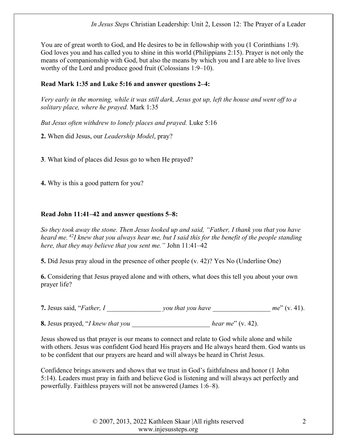You are of great worth to God, and He desires to be in fellowship with you (1 Corinthians 1:9). God loves you and has called you to shine in this world (Philippians 2:15). Prayer is not only the means of companionship with God, but also the means by which you and I are able to live lives worthy of the Lord and produce good fruit (Colossians 1:9–10).

# Read Mark 1:35 and Luke 5:16 and answer questions 2–4:

Very early in the morning, while it was still dark, Jesus got up, left the house and went off to a solitary place, where he prayed. Mark 1:35

But Jesus often withdrew to lonely places and prayed. Luke 5:16

2. When did Jesus, our Leadership Model, pray?

3. What kind of places did Jesus go to when He prayed?

4. Why is this a good pattern for you?

# Read John 11:41–42 and answer questions 5–8:

So they took away the stone. Then Jesus looked up and said, "Father, I thank you that you have heard me.<sup>42</sup>I knew that you always hear me, but I said this for the benefit of the people standing here, that they may believe that you sent me." John 11:41–42

5. Did Jesus pray aloud in the presence of other people (v. 42)? Yes No (Underline One)

6. Considering that Jesus prayed alone and with others, what does this tell you about your own prayer life?

7. Jesus said, "Father,  $I$  you that you have  $me'' (v. 41)$ .

8. Jesus prayed, "I knew that you \_\_\_\_\_\_\_\_\_\_\_\_\_\_\_\_\_\_\_\_\_\_\_ hear me" (v. 42).

Jesus showed us that prayer is our means to connect and relate to God while alone and while with others. Jesus was confident God heard His prayers and He always heard them. God wants us to be confident that our prayers are heard and will always be heard in Christ Jesus.

Confidence brings answers and shows that we trust in God's faithfulness and honor (1 John 5:14). Leaders must pray in faith and believe God is listening and will always act perfectly and powerfully. Faithless prayers will not be answered (James 1:6–8).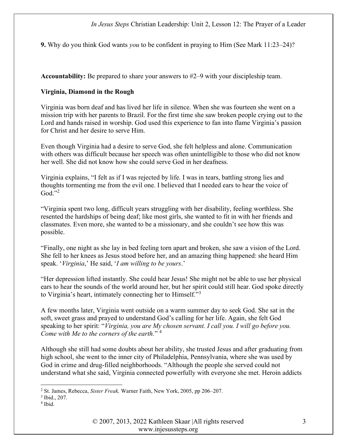9. Why do you think God wants you to be confident in praying to Him (See Mark 11:23–24)?

Accountability: Be prepared to share your answers to #2–9 with your discipleship team.

### Virginia, Diamond in the Rough

Virginia was born deaf and has lived her life in silence. When she was fourteen she went on a mission trip with her parents to Brazil. For the first time she saw broken people crying out to the Lord and hands raised in worship. God used this experience to fan into flame Virginia's passion for Christ and her desire to serve Him.

Even though Virginia had a desire to serve God, she felt helpless and alone. Communication with others was difficult because her speech was often unintelligible to those who did not know her well. She did not know how she could serve God in her deafness.

Virginia explains, "I felt as if I was rejected by life. I was in tears, battling strong lies and thoughts tormenting me from the evil one. I believed that I needed ears to hear the voice of  $\mathrm{God.}^{3,2}$ 

"Virginia spent two long, difficult years struggling with her disability, feeling worthless. She resented the hardships of being deaf; like most girls, she wanted to fit in with her friends and classmates. Even more, she wanted to be a missionary, and she couldn't see how this was possible.

"Finally, one night as she lay in bed feeling torn apart and broken, she saw a vision of the Lord. She fell to her knees as Jesus stood before her, and an amazing thing happened: she heard Him speak. 'Virginia,' He said, 'I am willing to be yours.'

"Her depression lifted instantly. She could hear Jesus! She might not be able to use her physical ears to hear the sounds of the world around her, but her spirit could still hear. God spoke directly to Virginia's heart, intimately connecting her to Himself."<sup>3</sup>

A few months later, Virginia went outside on a warm summer day to seek God. She sat in the soft, sweet grass and prayed to understand God's calling for her life. Again, she felt God speaking to her spirit: "Virginia, you are My chosen servant. I call you. I will go before you. Come with Me to the corners of the earth."  $4$ 

Although she still had some doubts about her ability, she trusted Jesus and after graduating from high school, she went to the inner city of Philadelphia, Pennsylvania, where she was used by God in crime and drug-filled neighborhoods. "Although the people she served could not understand what she said, Virginia connected powerfully with everyone she met. Heroin addicts

<sup>&</sup>lt;sup>2</sup> St. James, Rebecca, Sister Freak, Warner Faith, New York, 2005, pp 206–207.

<sup>3</sup> Ibid., 207.

<sup>4</sup> Ibid.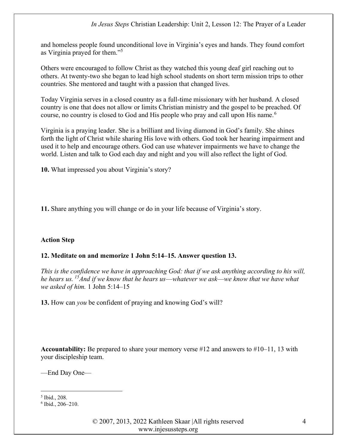and homeless people found unconditional love in Virginia's eyes and hands. They found comfort as Virginia prayed for them."<sup>5</sup>

Others were encouraged to follow Christ as they watched this young deaf girl reaching out to others. At twenty-two she began to lead high school students on short term mission trips to other countries. She mentored and taught with a passion that changed lives.

Today Virginia serves in a closed country as a full-time missionary with her husband. A closed country is one that does not allow or limits Christian ministry and the gospel to be preached. Of course, no country is closed to God and His people who pray and call upon His name.<sup>6</sup>

Virginia is a praying leader. She is a brilliant and living diamond in God's family. She shines forth the light of Christ while sharing His love with others. God took her hearing impairment and used it to help and encourage others. God can use whatever impairments we have to change the world. Listen and talk to God each day and night and you will also reflect the light of God.

10. What impressed you about Virginia's story?

11. Share anything you will change or do in your life because of Virginia's story.

## Action Step

#### 12. Meditate on and memorize 1 John 5:14–15. Answer question 13.

This is the confidence we have in approaching God: that if we ask anything according to his will, he hears us.<sup>15</sup>And if we know that he hears us—whatever we ask—we know that we have what we asked of him. 1 John 5:14–15

13. How can *you* be confident of praying and knowing God's will?

**Accountability:** Be prepared to share your memory verse #12 and answers to  $\#10-11$ , 13 with your discipleship team.

—End Day One—

<sup>5</sup> Ibid., 208.

<sup>6</sup> Ibid., 206–210.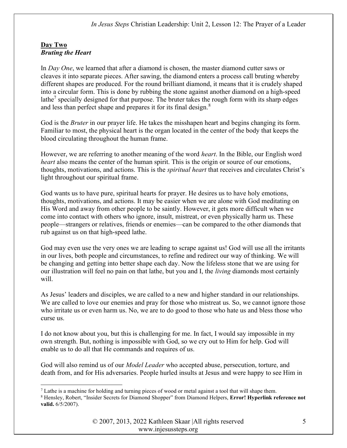# Day Two Bruting the Heart

In Day One, we learned that after a diamond is chosen, the master diamond cutter saws or cleaves it into separate pieces. After sawing, the diamond enters a process call bruting whereby different shapes are produced. For the round brilliant diamond, it means that it is crudely shaped into a circular form. This is done by rubbing the stone against another diamond on a high-speed lathe<sup>7</sup> specially designed for that purpose. The bruter takes the rough form with its sharp edges and less than perfect shape and prepares it for its final design.<sup>8</sup>

God is the *Bruter* in our prayer life. He takes the misshapen heart and begins changing its form. Familiar to most, the physical heart is the organ located in the center of the body that keeps the blood circulating throughout the human frame.

However, we are referring to another meaning of the word *heart*. In the Bible, our English word heart also means the center of the human spirit. This is the origin or source of our emotions, thoughts, motivations, and actions. This is the *spiritual heart* that receives and circulates Christ's light throughout our spiritual frame.

God wants us to have pure, spiritual hearts for prayer. He desires us to have holy emotions, thoughts, motivations, and actions. It may be easier when we are alone with God meditating on His Word and away from other people to be saintly. However, it gets more difficult when we come into contact with others who ignore, insult, mistreat, or even physically harm us. These people—strangers or relatives, friends or enemies—can be compared to the other diamonds that rub against us on that high-speed lathe.

God may even use the very ones we are leading to scrape against us! God will use all the irritants in our lives, both people and circumstances, to refine and redirect our way of thinking. We will be changing and getting into better shape each day. Now the lifeless stone that we are using for our illustration will feel no pain on that lathe, but you and I, the *living* diamonds most certainly will.

As Jesus' leaders and disciples, we are called to a new and higher standard in our relationships. We are called to love our enemies and pray for those who mistreat us. So, we cannot ignore those who irritate us or even harm us. No, we are to do good to those who hate us and bless those who curse us.

I do not know about you, but this is challenging for me. In fact, I would say impossible in my own strength. But, nothing is impossible with God, so we cry out to Him for help. God will enable us to do all that He commands and requires of us.

God will also remind us of our *Model Leader* who accepted abuse, persecution, torture, and death from, and for His adversaries. People hurled insults at Jesus and were happy to see Him in

 $7$  Lathe is a machine for holding and turning pieces of wood or metal against a tool that will shape them.

<sup>&</sup>lt;sup>8</sup> Hensley, Robert, "Insider Secrets for Diamond Shopper" from Diamond Helpers, Error! Hyperlink reference not valid. 6/5/2007).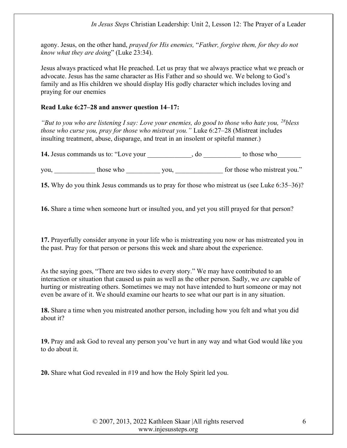agony. Jesus, on the other hand, prayed for His enemies, "Father, forgive them, for they do not know what they are doing" (Luke 23:34).

Jesus always practiced what He preached. Let us pray that we always practice what we preach or advocate. Jesus has the same character as His Father and so should we. We belong to God's family and as His children we should display His godly character which includes loving and praying for our enemies

#### Read Luke 6:27–28 and answer question 14–17:

"But to you who are listening I say: Love your enemies, do good to those who hate you,  $^{28}$ bless those who curse you, pray for those who mistreat you." Luke 6:27–28 (Mistreat includes insulting treatment, abuse, disparage, and treat in an insolent or spiteful manner.)

14. Jesus commands us to: "Love your  $\qquad \qquad$ , do  $\qquad \qquad$  to those who

you, \_\_\_\_\_\_\_\_\_\_\_\_ those who \_\_\_\_\_\_\_\_\_\_\_ you, \_\_\_\_\_\_\_\_\_\_\_\_ for those who mistreat you."

15. Why do you think Jesus commands us to pray for those who mistreat us (see Luke 6:35–36)?

16. Share a time when someone hurt or insulted you, and yet you still prayed for that person?

17. Prayerfully consider anyone in your life who is mistreating you now or has mistreated you in the past. Pray for that person or persons this week and share about the experience.

As the saying goes, "There are two sides to every story." We may have contributed to an interaction or situation that caused us pain as well as the other person. Sadly, we are capable of hurting or mistreating others. Sometimes we may not have intended to hurt someone or may not even be aware of it. We should examine our hearts to see what our part is in any situation.

18. Share a time when you mistreated another person, including how you felt and what you did about it?

19. Pray and ask God to reveal any person you've hurt in any way and what God would like you to do about it.

20. Share what God revealed in #19 and how the Holy Spirit led you.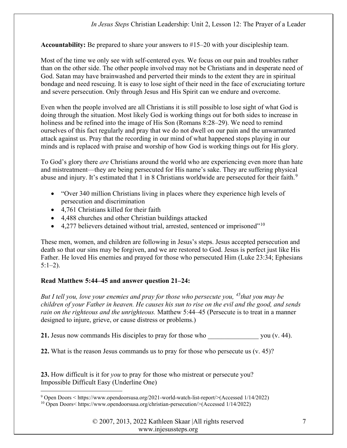Accountability: Be prepared to share your answers to #15–20 with your discipleship team.

Most of the time we only see with self-centered eyes. We focus on our pain and troubles rather than on the other side. The other people involved may not be Christians and in desperate need of God. Satan may have brainwashed and perverted their minds to the extent they are in spiritual bondage and need rescuing. It is easy to lose sight of their need in the face of excruciating torture and severe persecution. Only through Jesus and His Spirit can we endure and overcome.

Even when the people involved are all Christians it is still possible to lose sight of what God is doing through the situation. Most likely God is working things out for both sides to increase in holiness and be refined into the image of His Son (Romans 8:28–29). We need to remind ourselves of this fact regularly and pray that we do not dwell on our pain and the unwarranted attack against us. Pray that the recording in our mind of what happened stops playing in our minds and is replaced with praise and worship of how God is working things out for His glory.

To God's glory there *are* Christians around the world who are experiencing even more than hate and mistreatment—they are being persecuted for His name's sake. They are suffering physical abuse and injury. It's estimated that 1 in 8 Christians worldwide are persecuted for their faith.<sup>9</sup>

- "Over 340 million Christians living in places where they experience high levels of persecution and discrimination
- 4,761 Christians killed for their faith
- 4,488 churches and other Christian buildings attacked
- $\bullet$  4,277 believers detained without trial, arrested, sentenced or imprisoned"<sup>10</sup>

These men, women, and children are following in Jesus's steps. Jesus accepted persecution and death so that our sins may be forgiven, and we are restored to God. Jesus is perfect just like His Father. He loved His enemies and prayed for those who persecuted Him (Luke 23:34; Ephesians  $5:1-2$ ).

## Read Matthew 5:44–45 and answer question 21–24:

But I tell you, love your enemies and pray for those who persecute you,  $45$ that you may be children of your Father in heaven. He causes his sun to rise on the evil and the good, and sends rain on the righteous and the unrighteous. Matthew 5:44–45 (Persecute is to treat in a manner designed to injure, grieve, or cause distress or problems.)

21. Jesus now commands His disciples to pray for those who you (v. 44).

22. What is the reason Jesus commands us to pray for those who persecute us (v. 45)?

23. How difficult is it for *you* to pray for those who mistreat or persecute you? Impossible Difficult Easy (Underline One)

<sup>9</sup> Open Doors < https://www.opendoorsusa.org/2021-world-watch-list-report/>(Accessed 1/14/2022)

<sup>10</sup> Open Doors< https://www.opendoorsusa.org/christian-persecution/>(Accessed 1/14/2022)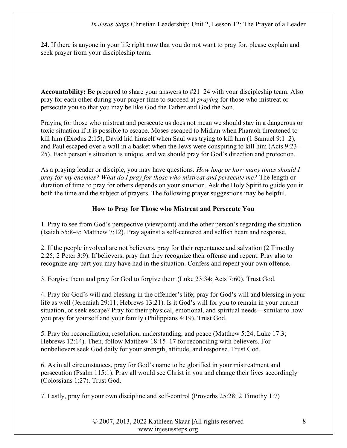24. If there is anyone in your life right now that you do not want to pray for, please explain and seek prayer from your discipleship team.

Accountability: Be prepared to share your answers to #21–24 with your discipleship team. Also pray for each other during your prayer time to succeed at *praying* for those who mistreat or persecute you so that you may be like God the Father and God the Son.

Praying for those who mistreat and persecute us does not mean we should stay in a dangerous or toxic situation if it is possible to escape. Moses escaped to Midian when Pharaoh threatened to kill him (Exodus 2:15), David hid himself when Saul was trying to kill him (1 Samuel 9:1–2), and Paul escaped over a wall in a basket when the Jews were conspiring to kill him (Acts 9:23– 25). Each person's situation is unique, and we should pray for God's direction and protection.

As a praying leader or disciple, you may have questions. How long or how many times should I pray for my enemies? What do I pray for those who mistreat and persecute me? The length or duration of time to pray for others depends on your situation. Ask the Holy Spirit to guide you in both the time and the subject of prayers. The following prayer suggestions may be helpful.

## How to Pray for Those who Mistreat and Persecute You

1. Pray to see from God's perspective (viewpoint) and the other person's regarding the situation (Isaiah 55:8–9; Matthew 7:12). Pray against a self-centered and selfish heart and response.

2. If the people involved are not believers, pray for their repentance and salvation (2 Timothy 2:25; 2 Peter 3:9). If believers, pray that they recognize their offense and repent. Pray also to recognize any part you may have had in the situation. Confess and repent your own offense.

3. Forgive them and pray for God to forgive them (Luke 23:34; Acts 7:60). Trust God.

4. Pray for God's will and blessing in the offender's life; pray for God's will and blessing in your life as well (Jeremiah 29:11; Hebrews 13:21). Is it God's will for you to remain in your current situation, or seek escape? Pray for their physical, emotional, and spiritual needs—similar to how you pray for yourself and your family (Philippians 4:19). Trust God.

5. Pray for reconciliation, resolution, understanding, and peace (Matthew 5:24, Luke 17:3; Hebrews 12:14). Then, follow Matthew 18:15–17 for reconciling with believers. For nonbelievers seek God daily for your strength, attitude, and response. Trust God.

6. As in all circumstances, pray for God's name to be glorified in your mistreatment and persecution (Psalm 115:1). Pray all would see Christ in you and change their lives accordingly (Colossians 1:27). Trust God.

7. Lastly, pray for your own discipline and self-control (Proverbs 25:28: 2 Timothy 1:7)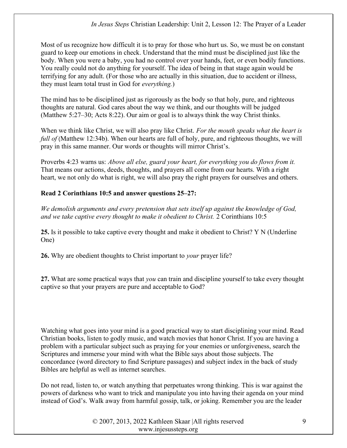Most of us recognize how difficult it is to pray for those who hurt us. So, we must be on constant guard to keep our emotions in check. Understand that the mind must be disciplined just like the body. When you were a baby, you had no control over your hands, feet, or even bodily functions. You really could not do anything for yourself. The idea of being in that stage again would be terrifying for any adult. (For those who are actually in this situation, due to accident or illness, they must learn total trust in God for everything.)

The mind has to be disciplined just as rigorously as the body so that holy, pure, and righteous thoughts are natural. God cares about the way we think, and our thoughts will be judged (Matthew 5:27–30; Acts 8:22). Our aim or goal is to always think the way Christ thinks.

When we think like Christ, we will also pray like Christ. For the mouth speaks what the heart is full of (Matthew 12:34b). When our hearts are full of holy, pure, and righteous thoughts, we will pray in this same manner. Our words or thoughts will mirror Christ's.

Proverbs 4:23 warns us: Above all else, guard your heart, for everything you do flows from it. That means our actions, deeds, thoughts, and prayers all come from our hearts. With a right heart, we not only do what is right, we will also pray the right prayers for ourselves and others.

# Read 2 Corinthians 10:5 and answer questions 25–27:

We demolish arguments and every pretension that sets itself up against the knowledge of God, and we take captive every thought to make it obedient to Christ. 2 Corinthians 10:5

25. Is it possible to take captive every thought and make it obedient to Christ? Y N (Underline One)

26. Why are obedient thoughts to Christ important to *your* prayer life?

27. What are some practical ways that *you* can train and discipline yourself to take every thought captive so that your prayers are pure and acceptable to God?

Watching what goes into your mind is a good practical way to start disciplining your mind. Read Christian books, listen to godly music, and watch movies that honor Christ. If you are having a problem with a particular subject such as praying for your enemies or unforgiveness, search the Scriptures and immerse your mind with what the Bible says about those subjects. The concordance (word directory to find Scripture passages) and subject index in the back of study Bibles are helpful as well as internet searches.

Do not read, listen to, or watch anything that perpetuates wrong thinking. This is war against the powers of darkness who want to trick and manipulate you into having their agenda on your mind instead of God's. Walk away from harmful gossip, talk, or joking. Remember you are the leader

> © 2007, 2013, 2022 Kathleen Skaar |All rights reserved www.injesussteps.org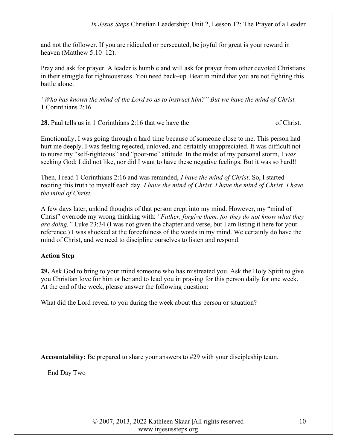and not the follower. If you are ridiculed or persecuted, be joyful for great is your reward in heaven (Matthew 5:10–12).

Pray and ask for prayer. A leader is humble and will ask for prayer from other devoted Christians in their struggle for righteousness. You need back–up. Bear in mind that you are not fighting this battle alone.

"Who has known the mind of the Lord so as to instruct him?" But we have the mind of Christ. 1 Corinthians 2:16

28. Paul tells us in 1 Corinthians 2:16 that we have the of Christ.

Emotionally, I was going through a hard time because of someone close to me. This person had hurt me deeply. I was feeling rejected, unloved, and certainly unappreciated. It was difficult not to nurse my "self-righteous" and "poor-me" attitude. In the midst of my personal storm, I was seeking God; I did not like, nor did I want to have these negative feelings. But it was so hard!!

Then, I read 1 Corinthians 2:16 and was reminded, *I have the mind of Christ*. So, I started reciting this truth to myself each day. I have the mind of Christ. I have the mind of Christ. I have the mind of Christ.

A few days later, unkind thoughts of that person crept into my mind. However, my "mind of Christ" overrode my wrong thinking with: "Father, forgive them, for they do not know what they are doing." Luke 23:34 (I was not given the chapter and verse, but I am listing it here for your reference.) I was shocked at the forcefulness of the words in my mind. We certainly do have the mind of Christ, and we need to discipline ourselves to listen and respond.

## Action Step

29. Ask God to bring to your mind someone who has mistreated you. Ask the Holy Spirit to give you Christian love for him or her and to lead you in praying for this person daily for one week. At the end of the week, please answer the following question:

What did the Lord reveal to you during the week about this person or situation?

Accountability: Be prepared to share your answers to #29 with your discipleship team.

—End Day Two—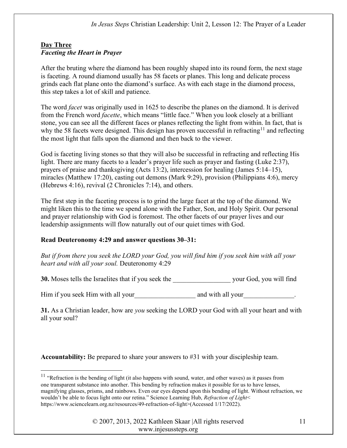# Day Three Faceting the Heart in Prayer

After the bruting where the diamond has been roughly shaped into its round form, the next stage is faceting. A round diamond usually has 58 facets or planes. This long and delicate process grinds each flat plane onto the diamond's surface. As with each stage in the diamond process, this step takes a lot of skill and patience.

The word *facet* was originally used in 1625 to describe the planes on the diamond. It is derived from the French word *facette*, which means "little face." When you look closely at a brilliant stone, you can see all the different faces or planes reflecting the light from within. In fact, that is why the 58 facets were designed. This design has proven successful in refracting<sup>11</sup> and reflecting the most light that falls upon the diamond and then back to the viewer.

God is faceting living stones so that they will also be successful in refracting and reflecting His light. There are many facets to a leader's prayer life such as prayer and fasting (Luke 2:37), prayers of praise and thanksgiving (Acts 13:2), intercession for healing (James 5:14–15), miracles (Matthew 17:20), casting out demons (Mark 9:29), provision (Philippians 4:6), mercy (Hebrews 4:16), revival (2 Chronicles 7:14), and others.

The first step in the faceting process is to grind the large facet at the top of the diamond. We might liken this to the time we spend alone with the Father, Son, and Holy Spirit. Our personal and prayer relationship with God is foremost. The other facets of our prayer lives and our leadership assignments will flow naturally out of our quiet times with God.

# Read Deuteronomy 4:29 and answer questions 30–31:

But if from there you seek the LORD your God, you will find him if you seek him with all your heart and with all your soul. Deuteronomy 4:29

30. Moses tells the Israelites that if you seek the your God, you will find

Him if you seek Him with all your and with all your and with all your

31. As a Christian leader, how are *you* seeking the LORD your God with all your heart and with all your soul?

Accountability: Be prepared to share your answers to #31 with your discipleship team.

<sup>&</sup>lt;sup>11</sup> "Refraction is the bending of light (it also happens with sound, water, and other waves) as it passes from one transparent substance into another. This bending by refraction makes it possible for us to have lenses, magnifying glasses, prisms, and rainbows. Even our eyes depend upon this bending of light. Without refraction, we wouldn't be able to focus light onto our retina." Science Learning Hub, Refraction of Light< https://www.sciencelearn.org.nz/resources/49-refraction-of-light>(Accessed 1/17/2022).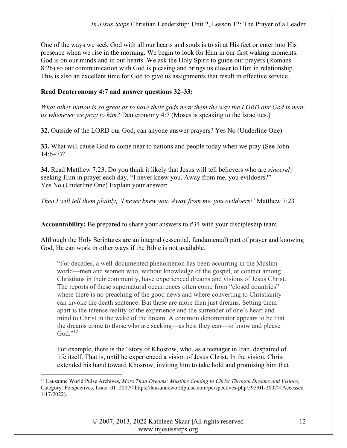One of the ways we seek God with all our hearts and souls is to sit at His feet or enter into His presence when we rise in the morning. We begin to look for Him in our first waking moments. God is on our minds and in our hearts. We ask the Holy Spirit to guide our prayers (Romans 8:26) so our communication with God is pleasing and brings us closer to Him in relationship. This is also an excellent time for God to give us assignments that result in effective service.

### Read Deuteronomy 4:7 and answer questions 32–33:

What other nation is so great as to have their gods near them the way the LORD our God is near us whenever we pray to him? Deuteronomy 4:7 (Moses is speaking to the Israelites.)

32. Outside of the LORD our God, can anyone answer prayers? Yes No (Underline One)

33. What will cause God to come near to nations and people today when we pray (See John  $14:6 - 7$ ?

34. Read Matthew 7:23. Do you think it likely that Jesus will tell believers who are *sincerely* seeking Him in prayer each day, "I never knew you. Away from me, you evildoers?" Yes No (Underline One) Explain your answer:

Then I will tell them plainly, 'I never knew you. Away from me, you evildoers!' Matthew 7:23

Accountability: Be prepared to share your answers to #34 with your discipleship team.

Although the Holy Scriptures are an integral (essential, fundamental) part of prayer and knowing God, He can work in other ways if the Bible is not available.

"For decades, a well-documented phenomenon has been occurring in the Muslim world—men and women who, without knowledge of the gospel, or contact among Christians in their community, have experienced dreams and visions of Jesus Christ. The reports of these supernatural occurrences often come from "closed countries" where there is no preaching of the good news and where converting to Christianity can invoke the death sentence. But these are more than just dreams. Setting them apart is the intense reality of the experience and the surrender of one's heart and mind to Christ in the wake of the dream. A common denominator appears to be that the dreams come to those who are seeking—as best they can—to know and please  $God. "12"$ 

For example, there is the "story of Khosrow, who, as a teenager in Iran, despaired of life itself. That is, until he experienced a vision of Jesus Christ. In the vision, Christ extended his hand toward Khosrow, inviting him to take hold and promising him that

 $12$  Lausanne World Pulse Archives, More Than Dreams: Muslims Coming to Christ Through Dreams and Visions, Category: Perspectives, Issue: 01–2007< https://lausanneworldpulse.com/perspectives-php/595/01-2007>(Accessed 1/17/2022).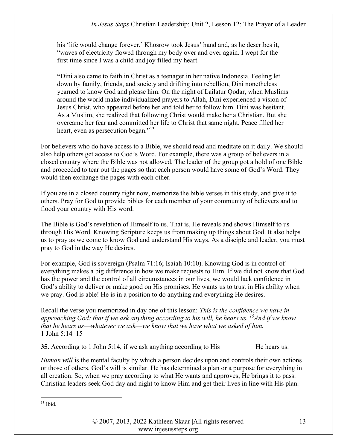his 'life would change forever.' Khosrow took Jesus' hand and, as he describes it, "waves of electricity flowed through my body over and over again. I wept for the first time since I was a child and joy filled my heart.

"Dini also came to faith in Christ as a teenager in her native Indonesia. Feeling let down by family, friends, and society and drifting into rebellion, Dini nonetheless yearned to know God and please him. On the night of Lailatur Qodar, when Muslims around the world make individualized prayers to Allah, Dini experienced a vision of Jesus Christ, who appeared before her and told her to follow him. Dini was hesitant. As a Muslim, she realized that following Christ would make her a Christian. But she overcame her fear and committed her life to Christ that same night. Peace filled her heart, even as persecution began."<sup>13</sup>

For believers who do have access to a Bible, we should read and meditate on it daily. We should also help others get access to God's Word. For example, there was a group of believers in a closed country where the Bible was not allowed. The leader of the group got a hold of one Bible and proceeded to tear out the pages so that each person would have some of God's Word. They would then exchange the pages with each other.

If you are in a closed country right now, memorize the bible verses in this study, and give it to others. Pray for God to provide bibles for each member of your community of believers and to flood your country with His word.

The Bible is God's revelation of Himself to us. That is, He reveals and shows Himself to us through His Word. Knowing Scripture keeps us from making up things about God. It also helps us to pray as we come to know God and understand His ways. As a disciple and leader, you must pray to God in the way He desires.

For example, God is sovereign (Psalm 71:16; Isaiah 10:10). Knowing God is in control of everything makes a big difference in how we make requests to Him. If we did not know that God has the power and the control of all circumstances in our lives, we would lack confidence in God's ability to deliver or make good on His promises. He wants us to trust in His ability when we pray. God is able! He is in a position to do anything and everything He desires.

Recall the verse you memorized in day one of this lesson: This is the confidence we have in approaching God: that if we ask anything according to his will, he hears us. <sup>15</sup>And if we know that he hears us––whatever we ask––we know that we have what we asked of him. 1 John 5:14–15

35. According to 1 John 5:14, if we ask anything according to His He hears us.

Human will is the mental faculty by which a person decides upon and controls their own actions or those of others. God's will is similar. He has determined a plan or a purpose for everything in all creation. So, when we pray according to what He wants and approves, He brings it to pass. Christian leaders seek God day and night to know Him and get their lives in line with His plan.

13 Ibid.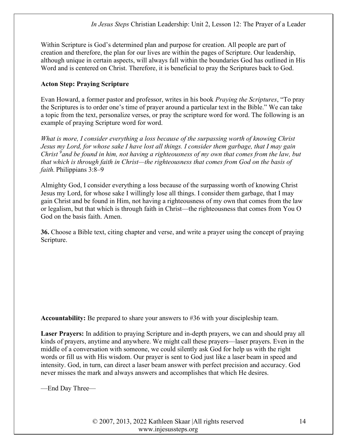Within Scripture is God's determined plan and purpose for creation. All people are part of creation and therefore, the plan for our lives are within the pages of Scripture. Our leadership, although unique in certain aspects, will always fall within the boundaries God has outlined in His Word and is centered on Christ. Therefore, it is beneficial to pray the Scriptures back to God.

# Acton Step: Praying Scripture

Evan Howard, a former pastor and professor, writes in his book Praying the Scriptures, "To pray the Scriptures is to order one's time of prayer around a particular text in the Bible." We can take a topic from the text, personalize verses, or pray the scripture word for word. The following is an example of praying Scripture word for word.

What is more, I consider everything a loss because of the surpassing worth of knowing Christ Jesus my Lord, for whose sake I have lost all things. I consider them garbage, that I may gain Christ  $\alpha$  and be found in him, not having a righteousness of my own that comes from the law, but that which is through faith in Christ—the righteousness that comes from God on the basis of faith. Philippians 3:8–9

Almighty God, I consider everything a loss because of the surpassing worth of knowing Christ Jesus my Lord, for whose sake I willingly lose all things. I consider them garbage, that I may gain Christ and be found in Him, not having a righteousness of my own that comes from the law or legalism, but that which is through faith in Christ—the righteousness that comes from You O God on the basis faith. Amen.

36. Choose a Bible text, citing chapter and verse, and write a prayer using the concept of praying Scripture.

Accountability: Be prepared to share your answers to #36 with your discipleship team.

Laser Prayers: In addition to praying Scripture and in-depth prayers, we can and should pray all kinds of prayers, anytime and anywhere. We might call these prayers—laser prayers. Even in the middle of a conversation with someone, we could silently ask God for help us with the right words or fill us with His wisdom. Our prayer is sent to God just like a laser beam in speed and intensity. God, in turn, can direct a laser beam answer with perfect precision and accuracy. God never misses the mark and always answers and accomplishes that which He desires.

—End Day Three—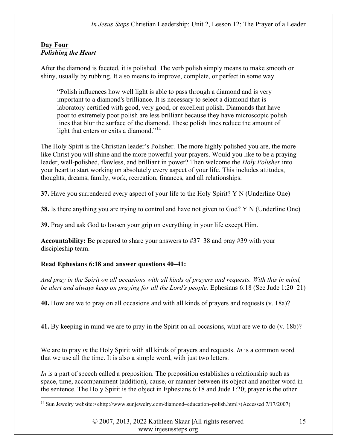# Day Four Polishing the Heart

After the diamond is faceted, it is polished. The verb polish simply means to make smooth or shiny, usually by rubbing. It also means to improve, complete, or perfect in some way.

"Polish influences how well light is able to pass through a diamond and is very important to a diamond's brilliance. It is necessary to select a diamond that is laboratory certified with good, very good, or excellent polish. Diamonds that have poor to extremely poor polish are less brilliant because they have microscopic polish lines that blur the surface of the diamond. These polish lines reduce the amount of light that enters or exits a diamond."<sup>14</sup>

The Holy Spirit is the Christian leader's Polisher. The more highly polished you are, the more like Christ you will shine and the more powerful your prayers. Would you like to be a praying leader, well-polished, flawless, and brilliant in power? Then welcome the Holy Polisher into your heart to start working on absolutely every aspect of your life. This includes attitudes, thoughts, dreams, family, work, recreation, finances, and all relationships.

37. Have you surrendered every aspect of your life to the Holy Spirit? Y N (Underline One)

38. Is there anything you are trying to control and have not given to God? Y N (Underline One)

39. Pray and ask God to loosen your grip on everything in your life except Him.

Accountability: Be prepared to share your answers to #37–38 and pray #39 with your discipleship team.

# Read Ephesians 6:18 and answer questions 40–41:

And pray in the Spirit on all occasions with all kinds of prayers and requests. With this in mind, be alert and always keep on praying for all the Lord's people. Ephesians 6:18 (See Jude 1:20–21)

40. How are we to pray on all occasions and with all kinds of prayers and requests (v. 18a)?

41. By keeping in mind we are to pray in the Spirit on all occasions, what are we to do (v. 18b)?

We are to pray in the Holy Spirit with all kinds of prayers and requests. In is a common word that we use all the time. It is also a simple word, with just two letters.

In is a part of speech called a preposition. The preposition establishes a relationship such as space, time, accompaniment (addition), cause, or manner between its object and another word in the sentence. The Holy Spirit is the object in Ephesians 6:18 and Jude 1:20; prayer is the other

<sup>14</sup> Sun Jewelry website:<ehttp://www.sunjewelry.com/diamond–education–polish.html>(Accessed 7/17/2007)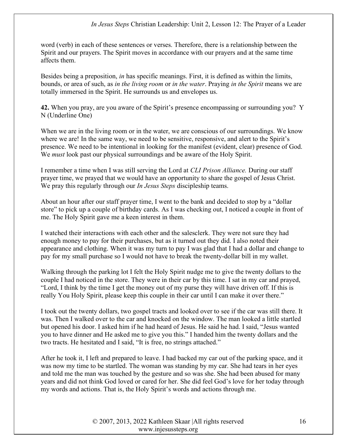word (verb) in each of these sentences or verses. Therefore, there is a relationship between the Spirit and our prayers. The Spirit moves in accordance with our prayers and at the same time affects them.

Besides being a preposition, in has specific meanings. First, it is defined as within the limits, bounds, or area of such, as in the living room or in the water. Praying in the Spirit means we are totally immersed in the Spirit. He surrounds us and envelopes us.

42. When you pray, are you aware of the Spirit's presence encompassing or surrounding you? Y N (Underline One)

When we are in the living room or in the water, we are conscious of our surroundings. We know where we are! In the same way, we need to be sensitive, responsive, and alert to the Spirit's presence. We need to be intentional in looking for the manifest (evident, clear) presence of God. We *must* look past our physical surroundings and be aware of the Holy Spirit.

I remember a time when I was still serving the Lord at CLI Prison Alliance. During our staff prayer time, we prayed that we would have an opportunity to share the gospel of Jesus Christ. We pray this regularly through our *In Jesus Steps* discipleship teams.

About an hour after our staff prayer time, I went to the bank and decided to stop by a "dollar store" to pick up a couple of birthday cards. As I was checking out, I noticed a couple in front of me. The Holy Spirit gave me a keen interest in them.

I watched their interactions with each other and the salesclerk. They were not sure they had enough money to pay for their purchases, but as it turned out they did. I also noted their appearance and clothing. When it was my turn to pay I was glad that I had a dollar and change to pay for my small purchase so I would not have to break the twenty-dollar bill in my wallet.

Walking through the parking lot I felt the Holy Spirit nudge me to give the twenty dollars to the couple I had noticed in the store. They were in their car by this time. I sat in my car and prayed, "Lord, I think by the time I get the money out of my purse they will have driven off. If this is really You Holy Spirit, please keep this couple in their car until I can make it over there."

I took out the twenty dollars, two gospel tracts and looked over to see if the car was still there. It was. Then I walked over to the car and knocked on the window. The man looked a little startled but opened his door. I asked him if he had heard of Jesus. He said he had. I said, "Jesus wanted you to have dinner and He asked me to give you this." I handed him the twenty dollars and the two tracts. He hesitated and I said, "It is free, no strings attached."

After he took it, I left and prepared to leave. I had backed my car out of the parking space, and it was now my time to be startled. The woman was standing by my car. She had tears in her eyes and told me the man was touched by the gesture and so was she. She had been abused for many years and did not think God loved or cared for her. She did feel God's love for her today through my words and actions. That is, the Holy Spirit's words and actions through me.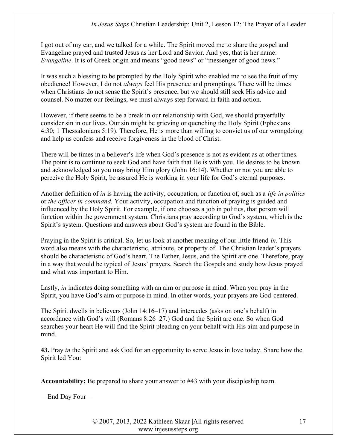I got out of my car, and we talked for a while. The Spirit moved me to share the gospel and Evangeline prayed and trusted Jesus as her Lord and Savior. And yes, that is her name: Evangeline. It is of Greek origin and means "good news" or "messenger of good news."

It was such a blessing to be prompted by the Holy Spirit who enabled me to see the fruit of my obedience! However, I do not *always* feel His presence and promptings. There will be times when Christians do not sense the Spirit's presence, but we should still seek His advice and counsel. No matter our feelings, we must always step forward in faith and action.

However, if there seems to be a break in our relationship with God, we should prayerfully consider sin in our lives. Our sin might be grieving or quenching the Holy Spirit (Ephesians 4:30; 1 Thessalonians 5:19). Therefore, He is more than willing to convict us of our wrongdoing and help us confess and receive forgiveness in the blood of Christ.

There will be times in a believer's life when God's presence is not as evident as at other times. The point is to continue to seek God and have faith that He is with you. He desires to be known and acknowledged so you may bring Him glory (John 16:14). Whether or not you are able to perceive the Holy Spirit, be assured He is working in your life for God's eternal purposes.

Another definition of in is having the activity, occupation, or function of, such as a life in politics or the officer in command. Your activity, occupation and function of praying is guided and influenced by the Holy Spirit. For example, if one chooses a job in politics, that person will function within the government system. Christians pray according to God's system, which is the Spirit's system. Questions and answers about God's system are found in the Bible.

Praying in the Spirit is critical. So, let us look at another meaning of our little friend in. This word also means with the characteristic, attribute, or property of. The Christian leader's prayers should be characteristic of God's heart. The Father, Jesus, and the Spirit are one. Therefore, pray in a way that would be typical of Jesus' prayers. Search the Gospels and study how Jesus prayed and what was important to Him.

Lastly, in indicates doing something with an aim or purpose in mind. When you pray in the Spirit, you have God's aim or purpose in mind. In other words, your prayers are God-centered.

The Spirit dwells in believers (John 14:16–17) and intercedes (asks on one's behalf) in accordance with God's will (Romans 8:26–27.) God and the Spirit are one. So when God searches your heart He will find the Spirit pleading on your behalf with His aim and purpose in mind.

43. Pray in the Spirit and ask God for an opportunity to serve Jesus in love today. Share how the Spirit led You:

Accountability: Be prepared to share your answer to #43 with your discipleship team.

—End Day Four—

© 2007, 2013, 2022 Kathleen Skaar |All rights reserved www.injesussteps.org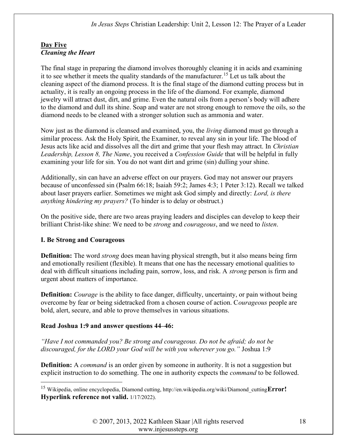# Day Five Cleaning the Heart

The final stage in preparing the diamond involves thoroughly cleaning it in acids and examining it to see whether it meets the quality standards of the manufacturer.<sup>15</sup> Let us talk about the cleaning aspect of the diamond process. It is the final stage of the diamond cutting process but in actuality, it is really an ongoing process in the life of the diamond. For example, diamond jewelry will attract dust, dirt, and grime. Even the natural oils from a person's body will adhere to the diamond and dull its shine. Soap and water are not strong enough to remove the oils, so the diamond needs to be cleaned with a stronger solution such as ammonia and water.

Now just as the diamond is cleansed and examined, you, the living diamond must go through a similar process. Ask the Holy Spirit, the Examiner, to reveal any sin in your life. The blood of Jesus acts like acid and dissolves all the dirt and grime that your flesh may attract. In Christian Leadership, Lesson 8, The Name, you received a Confession Guide that will be helpful in fully examining your life for sin. You do not want dirt and grime (sin) dulling your shine.

Additionally, sin can have an adverse effect on our prayers. God may not answer our prayers because of unconfessed sin (Psalm 66:18; Isaiah 59:2; James 4:3; 1 Peter 3:12). Recall we talked about laser prayers earlier. Sometimes we might ask God simply and directly: Lord, is there anything hindering my prayers? (To hinder is to delay or obstruct.)

On the positive side, there are two areas praying leaders and disciples can develop to keep their brilliant Christ-like shine: We need to be *strong* and *courageous*, and we need to *listen*.

# I. Be Strong and Courageous

**Definition:** The word *strong* does mean having physical strength, but it also means being firm and emotionally resilient (flexible). It means that one has the necessary emotional qualities to deal with difficult situations including pain, sorrow, loss, and risk. A strong person is firm and urgent about matters of importance.

**Definition:** *Courage* is the ability to face danger, difficulty, uncertainty, or pain without being overcome by fear or being sidetracked from a chosen course of action. Courageous people are bold, alert, secure, and able to prove themselves in various situations.

# Read Joshua 1:9 and answer questions 44–46:

"Have I not commanded you? Be strong and courageous. Do not be afraid; do not be discouraged, for the LORD your God will be with you wherever you go." Joshua 1:9

**Definition:** A *command* is an order given by someone in authority. It is not a suggestion but explicit instruction to do something. The one in authority expects the *command* to be followed.

<sup>&</sup>lt;sup>15</sup> Wikipedia, online encyclopedia, Diamond cutting, http://en.wikipedia.org/wiki/Diamond\_cutting $Error!$ Hyperlink reference not valid. 1/17/2022).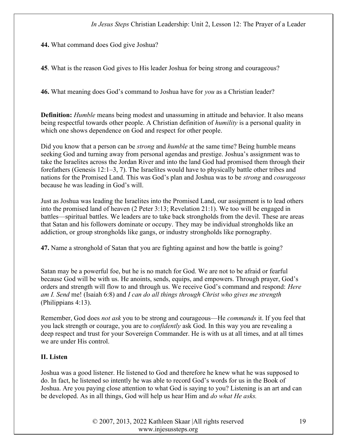44. What command does God give Joshua?

45. What is the reason God gives to His leader Joshua for being strong and courageous?

46. What meaning does God's command to Joshua have for you as a Christian leader?

Definition: *Humble* means being modest and unassuming in attitude and behavior. It also means being respectful towards other people. A Christian definition of *humility* is a personal quality in which one shows dependence on God and respect for other people.

Did you know that a person can be *strong* and *humble* at the same time? Being humble means seeking God and turning away from personal agendas and prestige. Joshua's assignment was to take the Israelites across the Jordan River and into the land God had promised them through their forefathers (Genesis 12:1–3, 7). The Israelites would have to physically battle other tribes and nations for the Promised Land. This was God's plan and Joshua was to be strong and courageous because he was leading in God's will.

Just as Joshua was leading the Israelites into the Promised Land, our assignment is to lead others into the promised land of heaven (2 Peter 3:13; Revelation 21:1). We too will be engaged in battles—spiritual battles. We leaders are to take back strongholds from the devil. These are areas that Satan and his followers dominate or occupy. They may be individual strongholds like an addiction, or group strongholds like gangs, or industry strongholds like pornography.

47. Name a stronghold of Satan that you are fighting against and how the battle is going?

Satan may be a powerful foe, but he is no match for God. We are not to be afraid or fearful because God will be with us. He anoints, sends, equips, and empowers. Through prayer, God's orders and strength will flow to and through us. We receive God's command and respond: Here am I. Send me! (Isaiah 6:8) and I can do all things through Christ who gives me strength (Philippians 4:13).

Remember, God does *not ask* you to be strong and courageous—He *commands* it. If you feel that you lack strength or courage, you are to confidently ask God. In this way you are revealing a deep respect and trust for your Sovereign Commander. He is with us at all times, and at all times we are under His control.

#### II. Listen

Joshua was a good listener. He listened to God and therefore he knew what he was supposed to do. In fact, he listened so intently he was able to record God's words for us in the Book of Joshua. Are you paying close attention to what God is saying to you? Listening is an art and can be developed. As in all things, God will help us hear Him and do what He asks.

> © 2007, 2013, 2022 Kathleen Skaar |All rights reserved www.injesussteps.org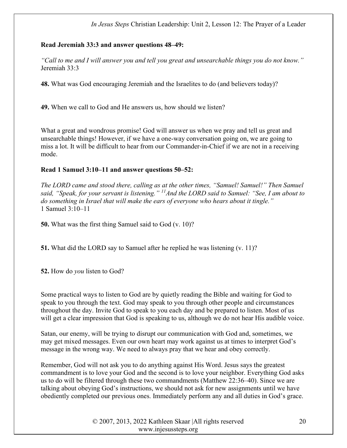### Read Jeremiah 33:3 and answer questions 48–49:

"Call to me and I will answer you and tell you great and unsearchable things you do not know." Jeremiah 33:3

48. What was God encouraging Jeremiah and the Israelites to do (and believers today)?

49. When we call to God and He answers us, how should we listen?

What a great and wondrous promise! God will answer us when we pray and tell us great and unsearchable things! However, if we have a one-way conversation going on, we are going to miss a lot. It will be difficult to hear from our Commander-in-Chief if we are not in a receiving mode.

#### Read 1 Samuel 3:10–11 and answer questions 50–52:

The LORD came and stood there, calling as at the other times, "Samuel! Samuel!" Then Samuel said, "Speak, for your servant is listening." <sup>11</sup> And the LORD said to Samuel: "See, I am about to do something in Israel that will make the ears of everyone who hears about it tingle." 1 Samuel 3:10–11

50. What was the first thing Samuel said to God (v. 10)?

51. What did the LORD say to Samuel after he replied he was listening (v. 11)?

52. How do you listen to God?

Some practical ways to listen to God are by quietly reading the Bible and waiting for God to speak to you through the text. God may speak to you through other people and circumstances throughout the day. Invite God to speak to you each day and be prepared to listen. Most of us will get a clear impression that God is speaking to us, although we do not hear His audible voice.

Satan, our enemy, will be trying to disrupt our communication with God and, sometimes, we may get mixed messages. Even our own heart may work against us at times to interpret God's message in the wrong way. We need to always pray that we hear and obey correctly.

Remember, God will not ask you to do anything against His Word. Jesus says the greatest commandment is to love your God and the second is to love your neighbor. Everything God asks us to do will be filtered through these two commandments (Matthew 22:36–40). Since we are talking about obeying God's instructions, we should not ask for new assignments until we have obediently completed our previous ones. Immediately perform any and all duties in God's grace.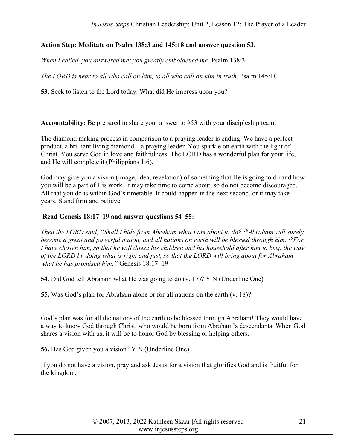# Action Step: Meditate on Psalm 138:3 and 145:18 and answer question 53.

When I called, you answered me; you greatly emboldened me. Psalm 138:3

The LORD is near to all who call on him, to all who call on him in truth. Psalm 145:18

53. Seek to listen to the Lord today. What did He impress upon you?

Accountability: Be prepared to share your answer to #53 with your discipleship team.

The diamond making process in comparison to a praying leader is ending. We have a perfect product, a brilliant living diamond—a praying leader. You sparkle on earth with the light of Christ. You serve God in love and faithfulness. The LORD has a wonderful plan for your life, and He will complete it (Philippians 1:6).

God may give you a vision (image, idea, revelation) of something that He is going to do and how you will be a part of His work. It may take time to come about, so do not become discouraged. All that you do is within God's timetable. It could happen in the next second, or it may take years. Stand firm and believe.

# Read Genesis 18:17–19 and answer questions 54–55:

Then the LORD said, "Shall I hide from Abraham what I am about to do?  $18$ Abraham will surely become a great and powerful nation, and all nations on earth will be blessed through him. <sup>19</sup>For I have chosen him, so that he will direct his children and his household after him to keep the way of the LORD by doing what is right and just, so that the LORD will bring about for Abraham what he has promised him." Genesis 18:17-19

54. Did God tell Abraham what He was going to do (v. 17)? Y N (Underline One)

55. Was God's plan for Abraham alone or for all nations on the earth (v. 18)?

God's plan was for all the nations of the earth to be blessed through Abraham! They would have a way to know God through Christ, who would be born from Abraham's descendants. When God shares a vision with us, it will be to honor God by blessing or helping others.

56. Has God given you a vision? Y N (Underline One)

If you do not have a vision, pray and ask Jesus for a vision that glorifies God and is fruitful for the kingdom.